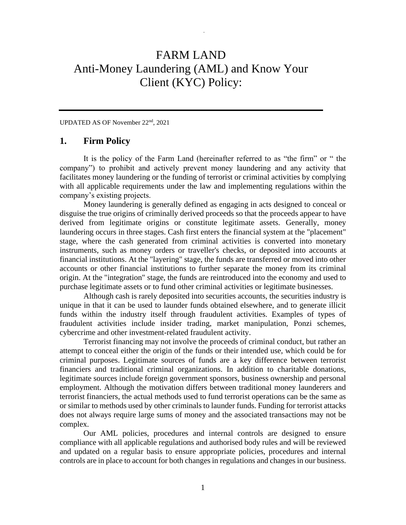# FARM LAND Anti-Money Laundering (AML) and Know Your Client (KYC) Policy:

*.*

UPDATED AS OF November 22nd, 2021

## **1. Firm Policy**

It is the policy of the Farm Land (hereinafter referred to as "the firm" or " the company") to prohibit and actively prevent money laundering and any activity that facilitates money laundering or the funding of terrorist or criminal activities by complying with all applicable requirements under the law and implementing regulations within the company's existing projects.

Money laundering is generally defined as engaging in acts designed to conceal or disguise the true origins of criminally derived proceeds so that the proceeds appear to have derived from legitimate origins or constitute legitimate assets. Generally, money laundering occurs in three stages. Cash first enters the financial system at the "placement" stage, where the cash generated from criminal activities is converted into monetary instruments, such as money orders or traveller's checks, or deposited into accounts at financial institutions. At the "layering" stage, the funds are transferred or moved into other accounts or other financial institutions to further separate the money from its criminal origin. At the "integration" stage, the funds are reintroduced into the economy and used to purchase legitimate assets or to fund other criminal activities or legitimate businesses.

Although cash is rarely deposited into securities accounts, the securities industry is unique in that it can be used to launder funds obtained elsewhere, and to generate illicit funds within the industry itself through fraudulent activities. Examples of types of fraudulent activities include insider trading, market manipulation, Ponzi schemes, cybercrime and other investment-related fraudulent activity.

Terrorist financing may not involve the proceeds of criminal conduct, but rather an attempt to conceal either the origin of the funds or their intended use, which could be for criminal purposes. Legitimate sources of funds are a key difference between terrorist financiers and traditional criminal organizations. In addition to charitable donations, legitimate sources include foreign government sponsors, business ownership and personal employment. Although the motivation differs between traditional money launderers and terrorist financiers, the actual methods used to fund terrorist operations can be the same as or similar to methods used by other criminals to launder funds. Funding for terrorist attacks does not always require large sums of money and the associated transactions may not be complex.

Our AML policies, procedures and internal controls are designed to ensure compliance with all applicable regulations and authorised body rules and will be reviewed and updated on a regular basis to ensure appropriate policies, procedures and internal controls are in place to account for both changes in regulations and changes in our business.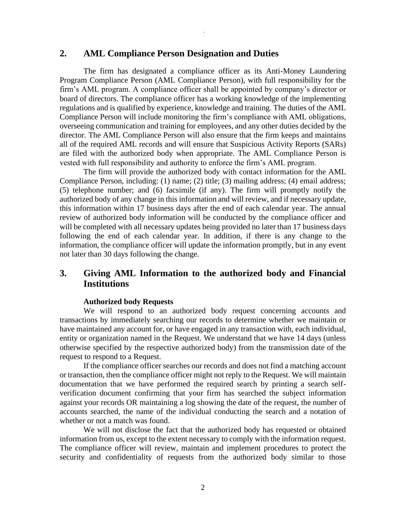## **2. AML Compliance Person Designation and Duties**

The firm has designated a compliance officer as its Anti-Money Laundering Program Compliance Person (AML Compliance Person), with full responsibility for the firm's AML program. A compliance officer shall be appointed by company's director or board of directors. The compliance officer has a working knowledge of the implementing regulations and is qualified by experience, knowledge and training. The duties of the AML Compliance Person will include monitoring the firm's compliance with AML obligations, overseeing communication and training for employees, and any other duties decided by the director. The AML Compliance Person will also ensure that the firm keeps and maintains all of the required AML records and will ensure that Suspicious Activity Reports (SARs) are filed with the authorized body when appropriate. The AML Compliance Person is vested with full responsibility and authority to enforce the firm's AML program.

*.*

The firm will provide the authorized body with contact information for the AML Compliance Person, including: (1) name; (2) title; (3) mailing address; (4) email address; (5) telephone number; and (6) facsimile (if any). The firm will promptly notify the authorized body of any change in this information and will review, and if necessary update, this information within 17 business days after the end of each calendar year. The annual review of authorized body information will be conducted by the compliance officer and will be completed with all necessary updates being provided no later than 17 business days following the end of each calendar year. In addition, if there is any change to the information, the compliance officer will update the information promptly, but in any event not later than 30 days following the change.

# **3. Giving AML Information to the authorized body and Financial Institutions**

#### **Authorized body Requests**

We will respond to an authorized body request concerning accounts and transactions by immediately searching our records to determine whether we maintain or have maintained any account for, or have engaged in any transaction with, each individual, entity or organization named in the Request. We understand that we have 14 days (unless otherwise specified by the respective authorized body) from the transmission date of the request to respond to a Request.

If the compliance officer searches our records and does not find a matching account or transaction, then the compliance officer might not reply to the Request. We will maintain documentation that we have performed the required search by printing a search selfverification document confirming that your firm has searched the subject information against your records OR maintaining a log showing the date of the request, the number of accounts searched, the name of the individual conducting the search and a notation of whether or not a match was found.

We will not disclose the fact that the authorized body has requested or obtained information from us, except to the extent necessary to comply with the information request. The compliance officer will review, maintain and implement procedures to protect the security and confidentiality of requests from the authorized body similar to those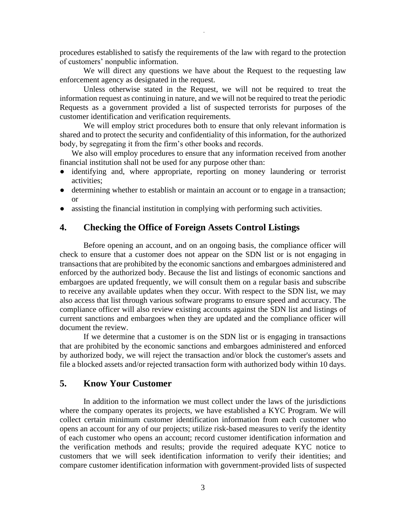procedures established to satisfy the requirements of the law with regard to the protection of customers' nonpublic information.

*.*

We will direct any questions we have about the Request to the requesting law enforcement agency as designated in the request.

Unless otherwise stated in the Request, we will not be required to treat the information request as continuing in nature, and we will not be required to treat the periodic Requests as a government provided a list of suspected terrorists for purposes of the customer identification and verification requirements.

We will employ strict procedures both to ensure that only relevant information is shared and to protect the security and confidentiality of this information, for the authorized body, by segregating it from the firm's other books and records.

We also will employ procedures to ensure that any information received from another financial institution shall not be used for any purpose other than:

- identifying and, where appropriate, reporting on money laundering or terrorist activities;
- determining whether to establish or maintain an account or to engage in a transaction; or
- assisting the financial institution in complying with performing such activities.

# **4. Checking the Office of Foreign Assets Control Listings**

Before opening an account, and on an ongoing basis, the compliance officer will check to ensure that a customer does not appear on the SDN list or is not engaging in transactions that are prohibited by the economic sanctions and embargoes administered and enforced by the authorized body. Because the list and listings of economic sanctions and embargoes are updated frequently, we will consult them on a regular basis and subscribe to receive any available updates when they occur. With respect to the SDN list, we may also access that list through various software programs to ensure speed and accuracy. The compliance officer will also review existing accounts against the SDN list and listings of current sanctions and embargoes when they are updated and the compliance officer will document the review.

If we determine that a customer is on the SDN list or is engaging in transactions that are prohibited by the economic sanctions and embargoes administered and enforced by authorized body, we will reject the transaction and/or block the customer's assets and file a blocked assets and/or rejected transaction form with authorized body within 10 days.

# **5. Know Your Customer**

In addition to the information we must collect under the laws of the jurisdictions where the company operates its projects, we have established a KYC Program. We will collect certain minimum customer identification information from each customer who opens an account for any of our projects; utilize risk-based measures to verify the identity of each customer who opens an account; record customer identification information and the verification methods and results; provide the required adequate KYC notice to customers that we will seek identification information to verify their identities; and compare customer identification information with government-provided lists of suspected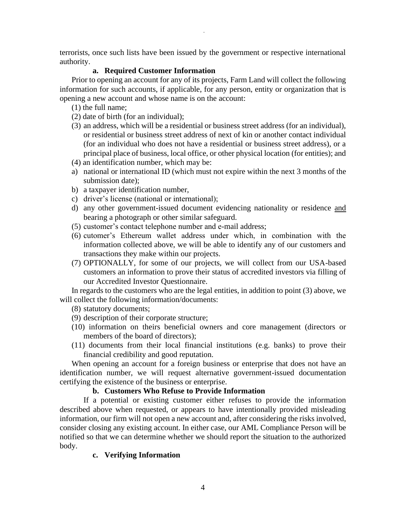terrorists, once such lists have been issued by the government or respective international authority.

*.*

#### **a. Required Customer Information**

Prior to opening an account for any of its projects, Farm Land will collect the following information for such accounts, if applicable, for any person, entity or organization that is opening a new account and whose name is on the account:

- (1) the full name;
- (2) date of birth (for an individual);
- (3) an address, which will be a residential or business street address (for an individual), or residential or business street address of next of kin or another contact individual (for an individual who does not have a residential or business street address), or a principal place of business, local office, or other physical location (for entities); and
- (4) an identification number, which may be:
- a) national or international ID (which must not expire within the next 3 months of the submission date);
- b) a taxpayer identification number,
- c) driver's license (national or international);
- d) any other government-issued document evidencing nationality or residence and bearing a photograph or other similar safeguard.
- (5) customer's contact telephone number and e-mail address;
- (6) cutomer's Ethereum wallet address under which, in combination with the information collected above, we will be able to identify any of our customers and transactions they make within our projects.
- (7) OPTIONALLY, for some of our projects, we will collect from our USA-based customers an information to prove their status of accredited investors via filling of our Accredited Investor Questionnaire.

In regards to the customers who are the legal entities, in addition to point (3) above, we will collect the following information/documents:

(8) statutory documents;

- (9) description of their corporate structure;
- (10) information on theirs beneficial owners and core management (directors or members of the board of directors);
- (11) documents from their local financial institutions (e.g. banks) to prove their financial credibility and good reputation.

When opening an account for a foreign business or enterprise that does not have an identification number, we will request alternative government-issued documentation certifying the existence of the business or enterprise.

## **b. Customers Who Refuse to Provide Information**

If a potential or existing customer either refuses to provide the information described above when requested, or appears to have intentionally provided misleading information, our firm will not open a new account and, after considering the risks involved, consider closing any existing account. In either case, our AML Compliance Person will be notified so that we can determine whether we should report the situation to the authorized body.

## **c. Verifying Information**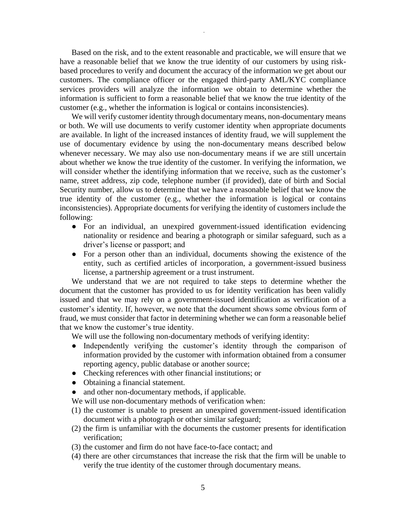Based on the risk, and to the extent reasonable and practicable, we will ensure that we have a reasonable belief that we know the true identity of our customers by using riskbased procedures to verify and document the accuracy of the information we get about our customers. The compliance officer or the engaged third-party AML/KYC compliance services providers will analyze the information we obtain to determine whether the information is sufficient to form a reasonable belief that we know the true identity of the customer (e.g., whether the information is logical or contains inconsistencies).

*.*

We will verify customer identity through documentary means, non-documentary means or both. We will use documents to verify customer identity when appropriate documents are available. In light of the increased instances of identity fraud, we will supplement the use of documentary evidence by using the non-documentary means described below whenever necessary. We may also use non-documentary means if we are still uncertain about whether we know the true identity of the customer. In verifying the information, we will consider whether the identifying information that we receive, such as the customer's name, street address, zip code, telephone number (if provided), date of birth and Social Security number, allow us to determine that we have a reasonable belief that we know the true identity of the customer (e.g., whether the information is logical or contains inconsistencies). Appropriate documents for verifying the identity of customers include the following:

- For an individual, an unexpired government-issued identification evidencing nationality or residence and bearing a photograph or similar safeguard, such as a driver's license or passport; and
- For a person other than an individual, documents showing the existence of the entity, such as certified articles of incorporation, a government-issued business license, a partnership agreement or a trust instrument.

We understand that we are not required to take steps to determine whether the document that the customer has provided to us for identity verification has been validly issued and that we may rely on a government-issued identification as verification of a customer's identity. If, however, we note that the document shows some obvious form of fraud, we must consider that factor in determining whether we can form a reasonable belief that we know the customer's true identity.

We will use the following non-documentary methods of verifying identity:

- Independently verifying the customer's identity through the comparison of information provided by the customer with information obtained from a consumer reporting agency, public database or another source;
- Checking references with other financial institutions; or
- Obtaining a financial statement.
- and other non-documentary methods, if applicable.
- We will use non-documentary methods of verification when:
- (1) the customer is unable to present an unexpired government-issued identification document with a photograph or other similar safeguard;
- (2) the firm is unfamiliar with the documents the customer presents for identification verification;
- (3) the customer and firm do not have face-to-face contact; and
- (4) there are other circumstances that increase the risk that the firm will be unable to verify the true identity of the customer through documentary means.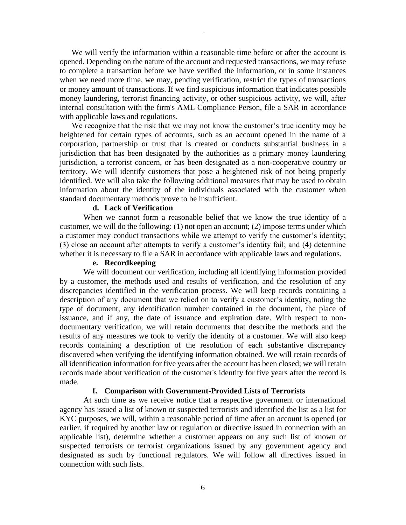We will verify the information within a reasonable time before or after the account is opened. Depending on the nature of the account and requested transactions, we may refuse to complete a transaction before we have verified the information, or in some instances when we need more time, we may, pending verification, restrict the types of transactions or money amount of transactions. If we find suspicious information that indicates possible money laundering, terrorist financing activity, or other suspicious activity, we will, after internal consultation with the firm's AML Compliance Person, file a SAR in accordance with applicable laws and regulations.

*.*

We recognize that the risk that we may not know the customer's true identity may be heightened for certain types of accounts, such as an account opened in the name of a corporation, partnership or trust that is created or conducts substantial business in a jurisdiction that has been designated by the authorities as a primary money laundering jurisdiction, a terrorist concern, or has been designated as a non-cooperative country or territory. We will identify customers that pose a heightened risk of not being properly identified. We will also take the following additional measures that may be used to obtain information about the identity of the individuals associated with the customer when standard documentary methods prove to be insufficient.

#### **d. Lack of Verification**

When we cannot form a reasonable belief that we know the true identity of a customer, we will do the following: (1) not open an account; (2) impose terms under which a customer may conduct transactions while we attempt to verify the customer's identity; (3) close an account after attempts to verify a customer's identity fail; and (4) determine whether it is necessary to file a SAR in accordance with applicable laws and regulations.

#### **e. Recordkeeping**

We will document our verification, including all identifying information provided by a customer, the methods used and results of verification, and the resolution of any discrepancies identified in the verification process. We will keep records containing a description of any document that we relied on to verify a customer's identity, noting the type of document, any identification number contained in the document, the place of issuance, and if any, the date of issuance and expiration date. With respect to nondocumentary verification, we will retain documents that describe the methods and the results of any measures we took to verify the identity of a customer. We will also keep records containing a description of the resolution of each substantive discrepancy discovered when verifying the identifying information obtained. We will retain records of all identification information for five years after the account has been closed; we will retain records made about verification of the customer's identity for five years after the record is made.

#### **f. Comparison with Government-Provided Lists of Terrorists**

At such time as we receive notice that a respective government or international agency has issued a list of known or suspected terrorists and identified the list as a list for KYC purposes, we will, within a reasonable period of time after an account is opened (or earlier, if required by another law or regulation or directive issued in connection with an applicable list), determine whether a customer appears on any such list of known or suspected terrorists or terrorist organizations issued by any government agency and designated as such by functional regulators. We will follow all directives issued in connection with such lists.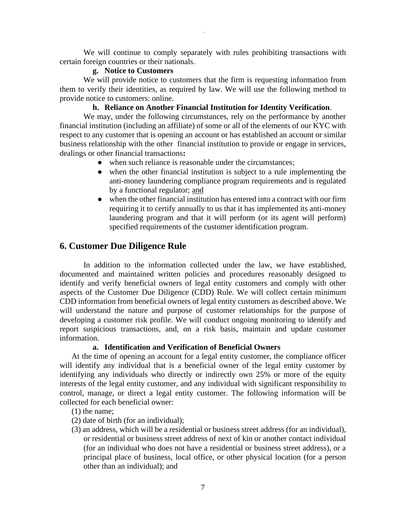We will continue to comply separately with rules prohibiting transactions with certain foreign countries or their nationals.

*.*

#### **g. Notice to Customers**

We will provide notice to customers that the firm is requesting information from them to verify their identities, as required by law. We will use the following method to provide notice to customers: online.

#### **h. Reliance on Another Financial Institution for Identity Verification**.

We may, under the following circumstances, rely on the performance by another financial institution (including an affiliate) of some or all of the elements of our KYC with respect to any customer that is opening an account or has established an account or similar business relationship with the other financial institution to provide or engage in services, dealings or other financial transactions**:**

- when such reliance is reasonable under the circumstances;
- when the other financial institution is subject to a rule implementing the anti-money laundering compliance program requirements and is regulated by a functional regulator; and
- when the other financial institution has entered into a contract with our firm requiring it to certify annually to us that it has implemented its anti-money laundering program and that it will perform (or its agent will perform) specified requirements of the customer identification program.

#### **6. Customer Due Diligence Rule**

In addition to the information collected under the law, we have established, documented and maintained written policies and procedures reasonably designed to identify and verify beneficial owners of legal entity customers and comply with other aspects of the Customer Due Diligence (CDD) Rule. We will collect certain minimum CDD information from beneficial owners of legal entity customers as described above. We will understand the nature and purpose of customer relationships for the purpose of developing a customer risk profile. We will conduct ongoing monitoring to identify and report suspicious transactions, and, on a risk basis, maintain and update customer information.

## **a. Identification and Verification of Beneficial Owners**

At the time of opening an account for a legal entity customer, the compliance officer will identify any individual that is a beneficial owner of the legal entity customer by identifying any individuals who directly or indirectly own 25% or more of the equity interests of the legal entity customer, and any individual with significant responsibility to control, manage, or direct a legal entity customer. The following information will be collected for each beneficial owner:

- (1) the name;
- (2) date of birth (for an individual);
- (3) an address, which will be a residential or business street address (for an individual), or residential or business street address of next of kin or another contact individual (for an individual who does not have a residential or business street address), or a principal place of business, local office, or other physical location (for a person other than an individual); and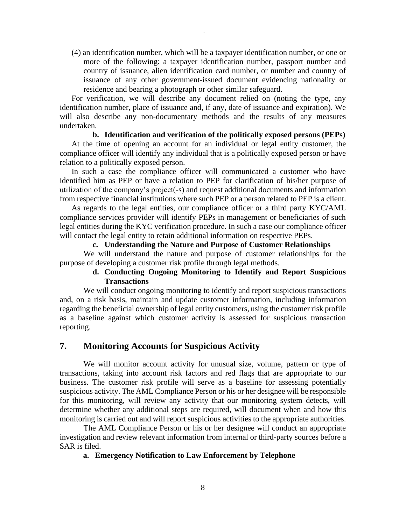(4) an identification number, which will be a taxpayer identification number, or one or more of the following: a taxpayer identification number, passport number and country of issuance, alien identification card number, or number and country of issuance of any other government-issued document evidencing nationality or residence and bearing a photograph or other similar safeguard.

*.*

For verification, we will describe any document relied on (noting the type, any identification number, place of issuance and, if any, date of issuance and expiration). We will also describe any non-documentary methods and the results of any measures undertaken.

#### **b. Identification and verification of the politically exposed persons (PEPs)**

At the time of opening an account for an individual or legal entity customer, the compliance officer will identify any individual that is a politically exposed person or have relation to a politically exposed person.

In such a case the compliance officer will communicated a customer who have identified him as PEP or have a relation to PEP for clarification of his/her purpose of utilization of the company's project(-s) and request additional documents and information from respective financial institutions where such PEP or a person related to PEP is a client.

As regards to the legal entities, our compliance officer or a third party KYC/AML compliance services provider will identify PEPs in management or beneficiaries of such legal entities during the KYC verification procedure. In such a case our compliance officer will contact the legal entity to retain additional information on respective PEPs.

## **c. Understanding the Nature and Purpose of Customer Relationships**

We will understand the nature and purpose of customer relationships for the purpose of developing a customer risk profile through legal methods.

## **d. Conducting Ongoing Monitoring to Identify and Report Suspicious Transactions**

We will conduct ongoing monitoring to identify and report suspicious transactions and, on a risk basis, maintain and update customer information, including information regarding the beneficial ownership of legal entity customers, using the customer risk profile as a baseline against which customer activity is assessed for suspicious transaction reporting.

## **7. Monitoring Accounts for Suspicious Activity**

We will monitor account activity for unusual size, volume, pattern or type of transactions, taking into account risk factors and red flags that are appropriate to our business. The customer risk profile will serve as a baseline for assessing potentially suspicious activity. The AML Compliance Person or his or her designee will be responsible for this monitoring, will review any activity that our monitoring system detects, will determine whether any additional steps are required, will document when and how this monitoring is carried out and will report suspicious activities to the appropriate authorities.

The AML Compliance Person or his or her designee will conduct an appropriate investigation and review relevant information from internal or third-party sources before a SAR is filed.

#### **a. Emergency Notification to Law Enforcement by Telephone**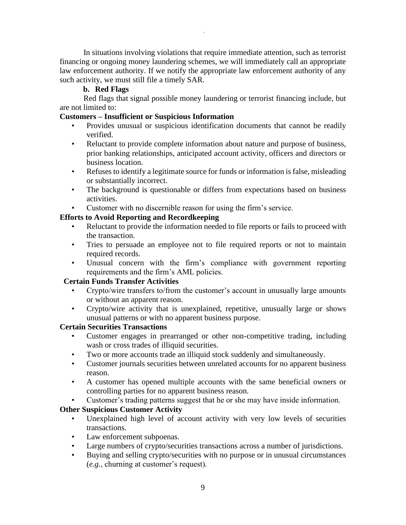In situations involving violations that require immediate attention, such as terrorist financing or ongoing money laundering schemes, we will immediately call an appropriate law enforcement authority. If we notify the appropriate law enforcement authority of any such activity, we must still file a timely SAR.

*.*

## **b. Red Flags**

Red flags that signal possible money laundering or terrorist financing include, but are not limited to:

## **Customers – Insufficient or Suspicious Information**

- Provides unusual or suspicious identification documents that cannot be readily verified.
- Reluctant to provide complete information about nature and purpose of business, prior banking relationships, anticipated account activity, officers and directors or business location.
- Refuses to identify a legitimate source for funds or information is false, misleading or substantially incorrect.
- The background is questionable or differs from expectations based on business activities.
- Customer with no discernible reason for using the firm's service.

# **Efforts to Avoid Reporting and Recordkeeping**

- Reluctant to provide the information needed to file reports or fails to proceed with the transaction.
- Tries to persuade an employee not to file required reports or not to maintain required records.
- Unusual concern with the firm's compliance with government reporting requirements and the firm's AML policies.

## **Certain Funds Transfer Activities**

- Crypto/wire transfers to/from the customer's account in unusually large amounts or without an apparent reason.
- Crypto/wire activity that is unexplained, repetitive, unusually large or shows unusual patterns or with no apparent business purpose.

# **Certain Securities Transactions**

- Customer engages in prearranged or other non-competitive trading, including wash or cross trades of illiquid securities.
- Two or more accounts trade an illiquid stock suddenly and simultaneously.
- Customer journals securities between unrelated accounts for no apparent business reason.
- A customer has opened multiple accounts with the same beneficial owners or controlling parties for no apparent business reason.
- Customer's trading patterns suggest that he or she may have inside information.

# **Other Suspicious Customer Activity**

- Unexplained high level of account activity with very low levels of securities transactions.
- Law enforcement subpoenas.
- Large numbers of crypto/securities transactions across a number of jurisdictions.
- Buying and selling crypto/securities with no purpose or in unusual circumstances (*e.g.*, churning at customer's request).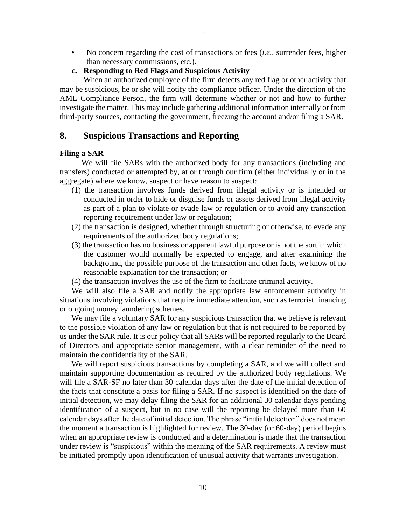• No concern regarding the cost of transactions or fees (*i.e.*, surrender fees, higher than necessary commissions, etc.).

*.*

**c. Responding to Red Flags and Suspicious Activity**

When an authorized employee of the firm detects any red flag or other activity that may be suspicious, he or she will notify the compliance officer. Under the direction of the AML Compliance Person, the firm will determine whether or not and how to further investigate the matter. This may include gathering additional information internally or from third-party sources, contacting the government, freezing the account and/or filing a SAR.

# **8. Suspicious Transactions and Reporting**

#### **Filing a SAR**

 We will file SARs with the authorized body for any transactions (including and transfers) conducted or attempted by, at or through our firm (either individually or in the aggregate) where we know, suspect or have reason to suspect:

- (1) the transaction involves funds derived from illegal activity or is intended or conducted in order to hide or disguise funds or assets derived from illegal activity as part of a plan to violate or evade law or regulation or to avoid any transaction reporting requirement under law or regulation;
- (2) the transaction is designed, whether through structuring or otherwise, to evade any requirements of the authorized body regulations;
- (3) the transaction has no business or apparent lawful purpose or is not the sort in which the customer would normally be expected to engage, and after examining the background, the possible purpose of the transaction and other facts, we know of no reasonable explanation for the transaction; or
- (4) the transaction involves the use of the firm to facilitate criminal activity.

We will also file a SAR and notify the appropriate law enforcement authority in situations involving violations that require immediate attention, such as terrorist financing or ongoing money laundering schemes.

We may file a voluntary SAR for any suspicious transaction that we believe is relevant to the possible violation of any law or regulation but that is not required to be reported by us under the SAR rule. It is our policy that all SARs will be reported regularly to the Board of Directors and appropriate senior management, with a clear reminder of the need to maintain the confidentiality of the SAR.

We will report suspicious transactions by completing a SAR, and we will collect and maintain supporting documentation as required by the authorized body regulations. We will file a SAR-SF no later than 30 calendar days after the date of the initial detection of the facts that constitute a basis for filing a SAR. If no suspect is identified on the date of initial detection, we may delay filing the SAR for an additional 30 calendar days pending identification of a suspect, but in no case will the reporting be delayed more than 60 calendar days after the date of initial detection. The phrase "initial detection" does not mean the moment a transaction is highlighted for review. The 30-day (or 60-day) period begins when an appropriate review is conducted and a determination is made that the transaction under review is "suspicious" within the meaning of the SAR requirements. A review must be initiated promptly upon identification of unusual activity that warrants investigation.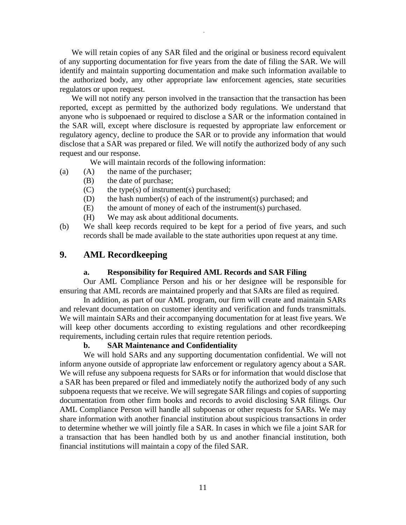We will retain copies of any SAR filed and the original or business record equivalent of any supporting documentation for five years from the date of filing the SAR. We will identify and maintain supporting documentation and make such information available to the authorized body, any other appropriate law enforcement agencies, state securities regulators or upon request.

*.*

We will not notify any person involved in the transaction that the transaction has been reported, except as permitted by the authorized body regulations. We understand that anyone who is subpoenaed or required to disclose a SAR or the information contained in the SAR will, except where disclosure is requested by appropriate law enforcement or regulatory agency, decline to produce the SAR or to provide any information that would disclose that a SAR was prepared or filed. We will notify the authorized body of any such request and our response.

We will maintain records of the following information:

- (a) (A) the name of the purchaser;
	- (B) the date of purchase;
	- $(C)$  the type(s) of instrument(s) purchased;
	- (D) the hash number(s) of each of the instrument(s) purchased; and
	- (E) the amount of money of each of the instrument(s) purchased.
	- (H) We may ask about additional documents.
- (b) We shall keep records required to be kept for a period of five years, and such records shall be made available to the state authorities upon request at any time.

# **9. AML Recordkeeping**

#### **a. Responsibility for Required AML Records and SAR Filing**

Our AML Compliance Person and his or her designee will be responsible for ensuring that AML records are maintained properly and that SARs are filed as required.

In addition, as part of our AML program, our firm will create and maintain SARs and relevant documentation on customer identity and verification and funds transmittals. We will maintain SARs and their accompanying documentation for at least five years. We will keep other documents according to existing regulations and other recordkeeping requirements, including certain rules that require retention periods.

#### **b. SAR Maintenance and Confidentiality**

We will hold SARs and any supporting documentation confidential. We will not inform anyone outside of appropriate law enforcement or regulatory agency about a SAR. We will refuse any subpoena requests for SARs or for information that would disclose that a SAR has been prepared or filed and immediately notify the authorized body of any such subpoena requests that we receive. We will segregate SAR filings and copies of supporting documentation from other firm books and records to avoid disclosing SAR filings. Our AML Compliance Person will handle all subpoenas or other requests for SARs. We may share information with another financial institution about suspicious transactions in order to determine whether we will jointly file a SAR. In cases in which we file a joint SAR for a transaction that has been handled both by us and another financial institution, both financial institutions will maintain a copy of the filed SAR.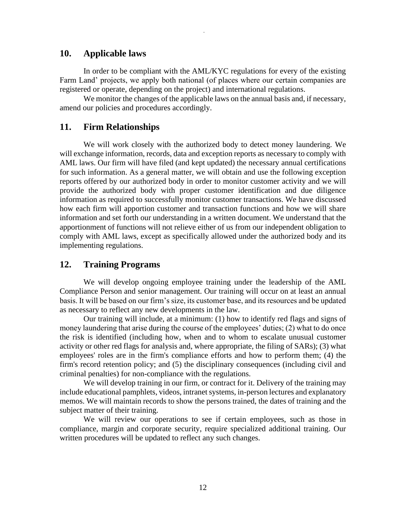#### **10. Applicable laws**

In order to be compliant with the AML/KYC regulations for every of the existing Farm Land' projects, we apply both national (of places where our certain companies are registered or operate, depending on the project) and international regulations.

*.*

We monitor the changes of the applicable laws on the annual basis and, if necessary, amend our policies and procedures accordingly.

## **11. Firm Relationships**

We will work closely with the authorized body to detect money laundering. We will exchange information, records, data and exception reports as necessary to comply with AML laws. Our firm will have filed (and kept updated) the necessary annual certifications for such information. As a general matter, we will obtain and use the following exception reports offered by our authorized body in order to monitor customer activity and we will provide the authorized body with proper customer identification and due diligence information as required to successfully monitor customer transactions. We have discussed how each firm will apportion customer and transaction functions and how we will share information and set forth our understanding in a written document. We understand that the apportionment of functions will not relieve either of us from our independent obligation to comply with AML laws, except as specifically allowed under the authorized body and its implementing regulations.

## **12. Training Programs**

We will develop ongoing employee training under the leadership of the AML Compliance Person and senior management. Our training will occur on at least an annual basis. It will be based on our firm's size, its customer base, and its resources and be updated as necessary to reflect any new developments in the law.

Our training will include, at a minimum: (1) how to identify red flags and signs of money laundering that arise during the course of the employees' duties; (2) what to do once the risk is identified (including how, when and to whom to escalate unusual customer activity or other red flags for analysis and, where appropriate, the filing of SARs); (3) what employees' roles are in the firm's compliance efforts and how to perform them; (4) the firm's record retention policy; and (5) the disciplinary consequences (including civil and criminal penalties) for non-compliance with the regulations.

We will develop training in our firm, or contract for it. Delivery of the training may include educational pamphlets, videos, intranet systems, in-person lectures and explanatory memos. We will maintain records to show the persons trained, the dates of training and the subject matter of their training.

We will review our operations to see if certain employees, such as those in compliance, margin and corporate security, require specialized additional training. Our written procedures will be updated to reflect any such changes.